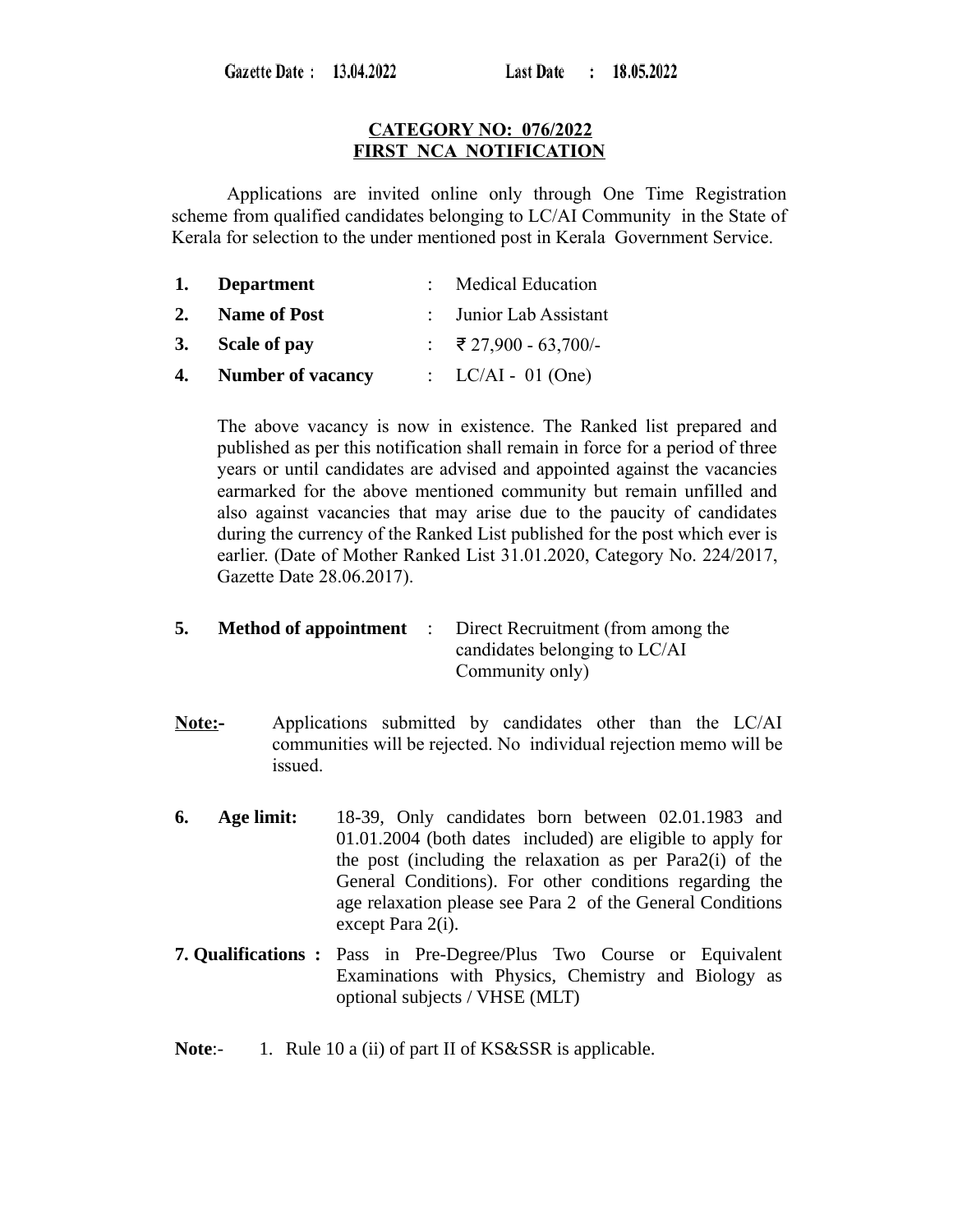Gazette Date: 13.04.2022

#### **CATEGORY NO: 076/2022 FIRST NCA NOTIFICATION**

Applications are invited online only through One Time Registration scheme from qualified candidates belonging to LC/AI Community in the State of Kerala for selection to the under mentioned post in Kerala Government Service.

|    | 1. Department            | : Medical Education    |
|----|--------------------------|------------------------|
| 2. | <b>Name of Post</b>      | : Junior Lab Assistant |
|    | 3. Scale of pay          | : ₹27,900 - 63,700/-   |
| 4. | <b>Number of vacancy</b> | : $LC/AI - 01$ (One)   |

The above vacancy is now in existence. The Ranked list prepared and published as per this notification shall remain in force for a period of three years or until candidates are advised and appointed against the vacancies earmarked for the above mentioned community but remain unfilled and also against vacancies that may arise due to the paucity of candidates during the currency of the Ranked List published for the post which ever is earlier. (Date of Mother Ranked List 31.01.2020, Category No. 224/2017, Gazette Date 28.06.2017).

## **5. Method of appointment** : Direct Recruitment (from among the candidates belonging to LC/AI Community only)

- **Note:-** Applications submitted by candidates other than the LC/AI communities will be rejected. No individual rejection memo will be issued.
- **6. Age limit:** 18-39, Only candidates born between 02.01.1983 and 01.01.2004 (both dates included) are eligible to apply for the post (including the relaxation as per Para2(i) of the General Conditions). For other conditions regarding the age relaxation please see Para 2 of the General Conditions except Para 2(i).
- **7. Qualifications :** Pass in Pre-Degree/Plus Two Course or Equivalent Examinations with Physics, Chemistry and Biology as optional subjects / VHSE (MLT)
- **Note:-** 1. Rule 10 a (ii) of part II of KS&SSR is applicable.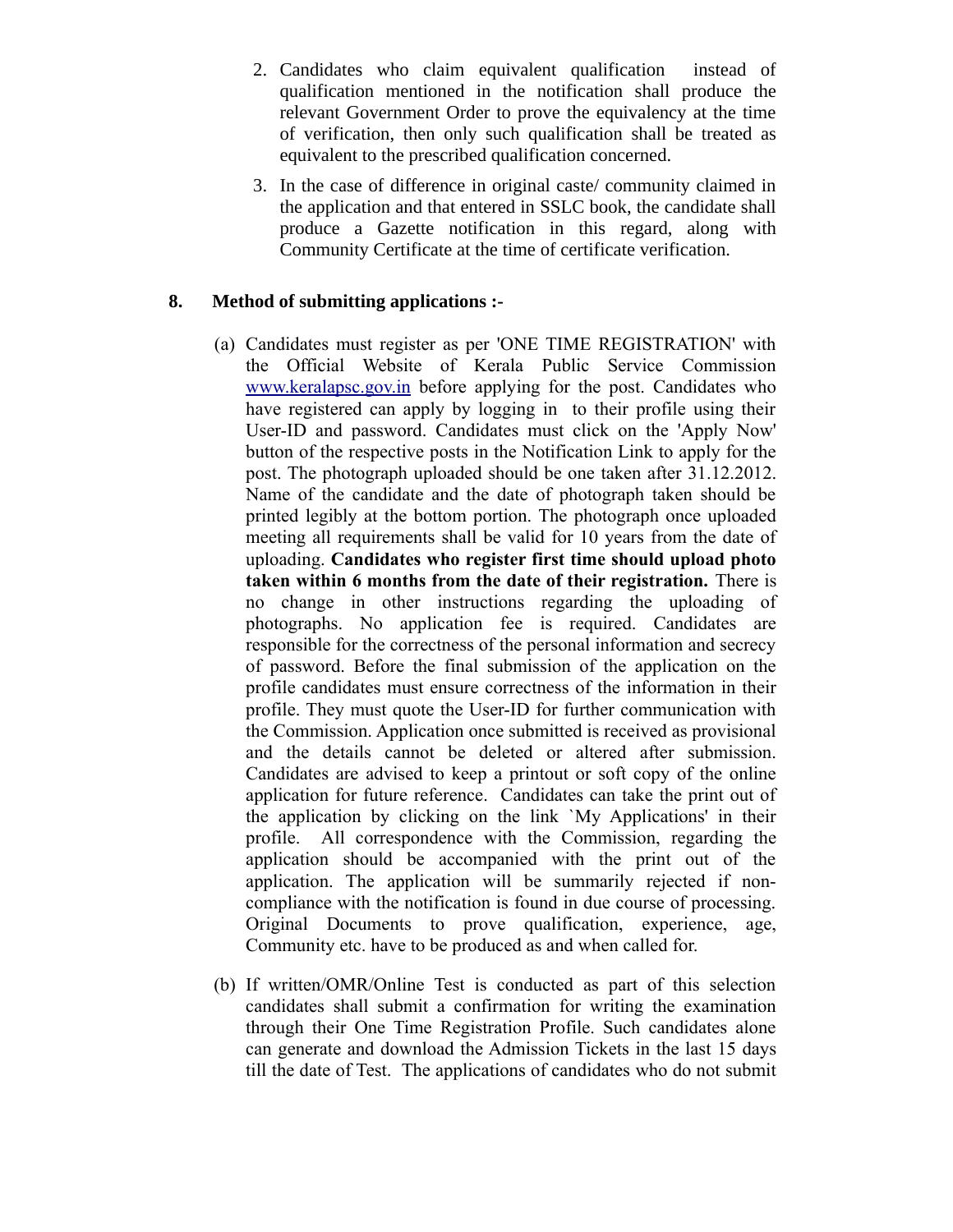- 2. Candidates who claim equivalent qualification instead of qualification mentioned in the notification shall produce the relevant Government Order to prove the equivalency at the time of verification, then only such qualification shall be treated as equivalent to the prescribed qualification concerned.
- 3. In the case of difference in original caste/ community claimed in the application and that entered in SSLC book, the candidate shall produce a Gazette notification in this regard, along with Community Certificate at the time of certificate verification.

## **8. Method of submitting applications :-**

- (a) Candidates must register as per 'ONE TIME REGISTRATION' with the Official Website of Kerala Public Service Commission [www.keralapsc.gov.in](http://www.kerealapsc.gov.in/) before applying for the post. Candidates who have registered can apply by logging in to their profile using their User-ID and password. Candidates must click on the 'Apply Now' button of the respective posts in the Notification Link to apply for the post. The photograph uploaded should be one taken after 31.12.2012. Name of the candidate and the date of photograph taken should be printed legibly at the bottom portion. The photograph once uploaded meeting all requirements shall be valid for 10 years from the date of uploading. **Candidates who register first time should upload photo taken within 6 months from the date of their registration.** There is no change in other instructions regarding the uploading of photographs. No application fee is required. Candidates are responsible for the correctness of the personal information and secrecy of password. Before the final submission of the application on the profile candidates must ensure correctness of the information in their profile. They must quote the User-ID for further communication with the Commission. Application once submitted is received as provisional and the details cannot be deleted or altered after submission. Candidates are advised to keep a printout or soft copy of the online application for future reference. Candidates can take the print out of the application by clicking on the link `My Applications' in their profile. All correspondence with the Commission, regarding the application should be accompanied with the print out of the application. The application will be summarily rejected if noncompliance with the notification is found in due course of processing. Original Documents to prove qualification, experience, age, Community etc. have to be produced as and when called for.
- (b) If written/OMR/Online Test is conducted as part of this selection candidates shall submit a confirmation for writing the examination through their One Time Registration Profile. Such candidates alone can generate and download the Admission Tickets in the last 15 days till the date of Test. The applications of candidates who do not submit